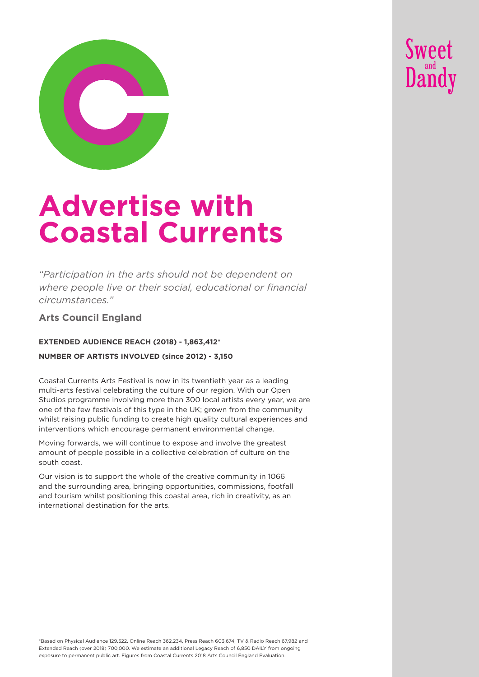



# **Advertise with Coastal Currents**

*"Participation in the arts should not be dependent on where people live or their social, educational or financial circumstances."* 

**Arts Council England**

#### **EXTENDED AUDIENCE REACH (2018) - 1,863,412\***

#### **NUMBER OF ARTISTS INVOLVED (since 2012) - 3,150**

Coastal Currents Arts Festival is now in its twentieth year as a leading multi-arts festival celebrating the culture of our region. With our Open Studios programme involving more than 300 local artists every year, we are one of the few festivals of this type in the UK; grown from the community whilst raising public funding to create high quality cultural experiences and interventions which encourage permanent environmental change.

Moving forwards, we will continue to expose and involve the greatest amount of people possible in a collective celebration of culture on the south coast.

Our vision is to support the whole of the creative community in 1066 and the surrounding area, bringing opportunities, commissions, footfall and tourism whilst positioning this coastal area, rich in creativity, as an international destination for the arts.

\*Based on Physical Audience 129,522, Online Reach 362,234, Press Reach 603,674, TV & Radio Reach 67,982 and Extended Reach (over 2018) 700,000. We estimate an additional Legacy Reach of 6,850 DAILY from ongoing exposure to permanent public art. Figures from Coastal Currents 2018 Arts Council England Evaluation.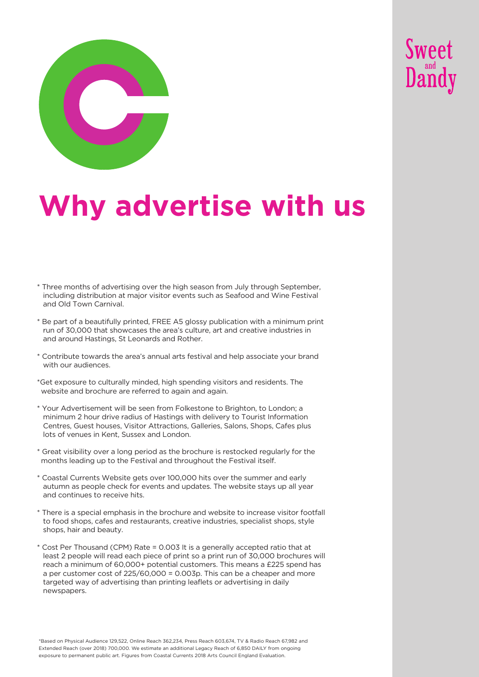



# **Why advertise with us**

- \* Three months of advertising over the high season from July through September, including distribution at major visitor events such as Seafood and Wine Festival and Old Town Carnival.
- \* Be part of a beautifully printed, FREE A5 glossy publication with a minimum print run of 30,000 that showcases the area's culture, art and creative industries in and around Hastings, St Leonards and Rother.
- \* Contribute towards the area's annual arts festival and help associate your brand with our audiences.
- \*Get exposure to culturally minded, high spending visitors and residents. The website and brochure are referred to again and again.
- \* Your Advertisement will be seen from Folkestone to Brighton, to London; a minimum 2 hour drive radius of Hastings with delivery to Tourist Information Centres, Guest houses, Visitor Attractions, Galleries, Salons, Shops, Cafes plus lots of venues in Kent, Sussex and London.
- \* Great visibility over a long period as the brochure is restocked regularly for the months leading up to the Festival and throughout the Festival itself.
- \* Coastal Currents Website gets over 100,000 hits over the summer and early autumn as people check for events and updates. The website stays up all year and continues to receive hits.
- \* There is a special emphasis in the brochure and website to increase visitor footfall to food shops, cafes and restaurants, creative industries, specialist shops, style shops, hair and beauty.
- \* Cost Per Thousand (CPM) Rate = 0.003 It is a generally accepted ratio that at least 2 people will read each piece of print so a print run of 30,000 brochures will reach a minimum of 60,000+ potential customers. This means a £225 spend has a per customer cost of 225/60,000 = 0.003p. This can be a cheaper and more targeted way of advertising than printing leaflets or advertising in daily newspapers.

\*Based on Physical Audience 129,522, Online Reach 362,234, Press Reach 603,674, TV & Radio Reach 67,982 and Extended Reach (over 2018) 700,000. We estimate an additional Legacy Reach of 6,850 DAILY from ongoing exposure to permanent public art. Figures from Coastal Currents 2018 Arts Council England Evaluation.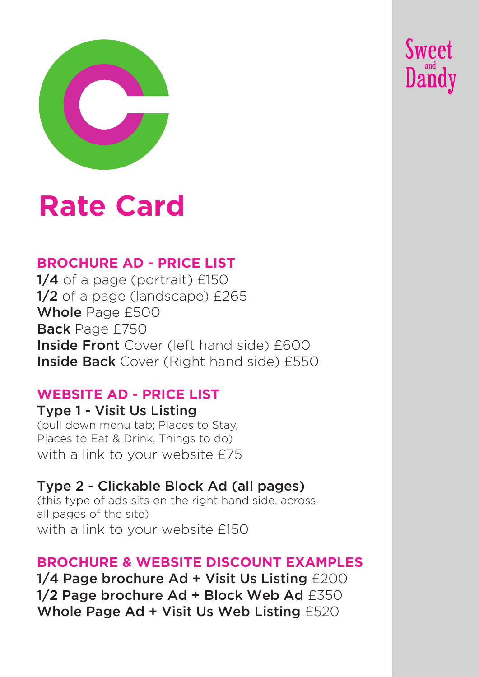

# **Rate Card**

# **BROCHURE AD - PRICE LIST**

1/4 of a page (portrait) £150 1/2 of a page (landscape) £265 Whole Page £500 Back Page £750 **Inside Front** Cover (left hand side) £600 **Inside Back** Cover (Right hand side) £550 **Sweet** 

Dandy

### **WEBSITE AD - PRICE LIST**

### Type 1 - Visit Us Listing (pull down menu tab; Places to Stay,

Places to Eat & Drink, Things to do) with a link to your website £75

# Type 2 - Clickable Block Ad (all pages)

(this type of ads sits on the right hand side, across all pages of the site) with a link to your website £150

## **BROCHURE & WEBSITE DISCOUNT EXAMPLES**

1/4 Page brochure Ad + Visit Us Listing £200 1/2 Page brochure Ad + Block Web Ad £350 Whole Page Ad + Visit Us Web Listing £520